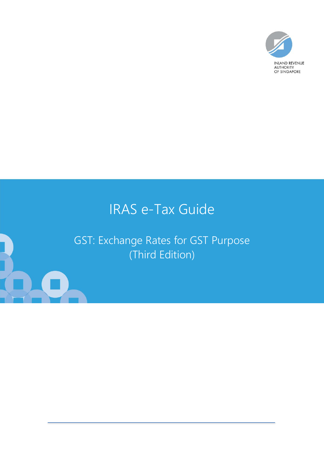

# IRAS e-Tax Guide

GST: Exchange Rates for GST Purpose (Third Edition)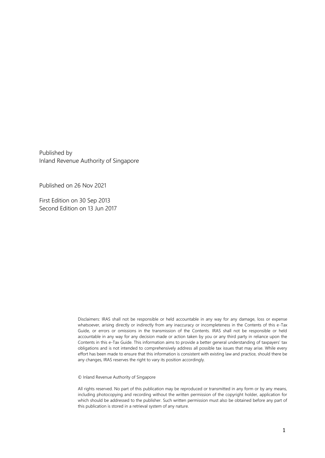Published by Inland Revenue Authority of Singapore

Published on 26 Nov 2021

First Edition on 30 Sep 2013 Second Edition on 13 Jun 2017

> Disclaimers: IRAS shall not be responsible or held accountable in any way for any damage, loss or expense whatsoever, arising directly or indirectly from any inaccuracy or incompleteness in the Contents of this e-Tax Guide, or errors or omissions in the transmission of the Contents. IRAS shall not be responsible or held accountable in any way for any decision made or action taken by you or any third party in reliance upon the Contents in this e-Tax Guide. This information aims to provide a better general understanding of taxpayers' tax obligations and is not intended to comprehensively address all possible tax issues that may arise. While every effort has been made to ensure that this information is consistent with existing law and practice, should there be any changes, IRAS reserves the right to vary its position accordingly.

© Inland Revenue Authority of Singapore

All rights reserved. No part of this publication may be reproduced or transmitted in any form or by any means, including photocopying and recording without the written permission of the copyright holder, application for which should be addressed to the publisher. Such written permission must also be obtained before any part of this publication is stored in a retrieval system of any nature.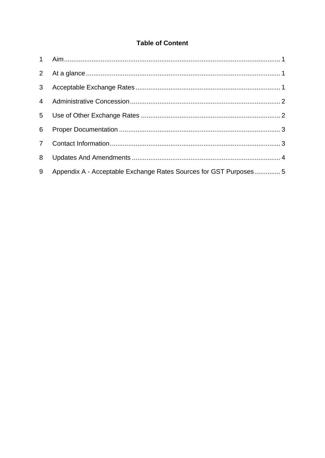### **Table of Content**

| 8 |                                                                  |  |
|---|------------------------------------------------------------------|--|
| 9 | Appendix A - Acceptable Exchange Rates Sources for GST Purposes5 |  |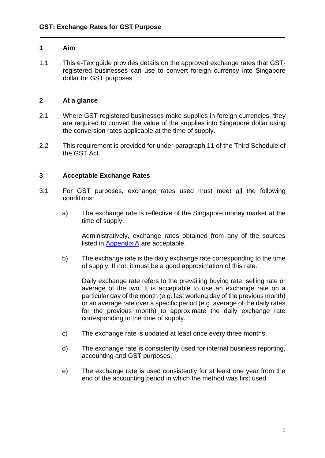#### <span id="page-3-0"></span>**1 Aim**

1.1 This e-Tax guide provides details on the approved exchange rates that GSTregistered businesses can use to convert foreign currency into Singapore dollar for GST purposes.

#### <span id="page-3-1"></span>**2 At a glance**

- 2.1 Where GST-registered businesses make supplies in foreign currencies, they are required to convert the value of the supplies into Singapore dollar using the conversion rates applicable at the time of supply.
- 2.2 This requirement is provided for under paragraph 11 of the Third Schedule of the GST Act.

#### <span id="page-3-2"></span>**3 Acceptable Exchange Rates**

- 3.1 For GST purposes, exchange rates used must meet all the following conditions:
	- a) The exchange rate is reflective of the Singapore money market at the time of supply.

Administratively, exchange rates obtained from any of the sources listed in [Appendix A](#page-6-0) are acceptable.

b) The exchange rate is the daily exchange rate corresponding to the time of supply. If not, it must be a good approximation of this rate.

Daily exchange rate refers to the prevailing buying rate, selling rate or average of the two. It is acceptable to use an exchange rate on a particular day of the month (e.g. last working day of the previous month) or an average rate over a specific period (e.g. average of the daily rates for the previous month) to approximate the daily exchange rate corresponding to the time of supply.

- c) The exchange rate is updated at least once every three months.
- d) The exchange rate is consistently used for internal business reporting, accounting and GST purposes.
- <span id="page-3-3"></span>e) The exchange rate is used consistently for at least one year from the end of the accounting period in which the method was first used.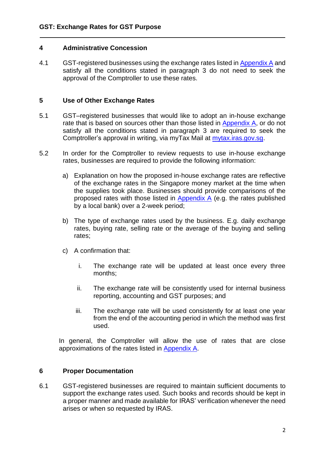#### **4 Administrative Concession**

4.1 GST-registered businesses using the exchange rates listed in [Appendix A](#page-6-0) and satisfy all the conditions stated in paragraph 3 do not need to seek the approval of the Comptroller to use these rates.

#### <span id="page-4-0"></span>**5 Use of Other Exchange Rates**

- 5.1 GST–registered businesses that would like to adopt an in-house exchange rate that is based on sources other than those listed in [Appendix A,](#page-6-0) or do not satisfy all the conditions stated in paragraph 3 are required to seek the Comptroller's approval in writing, via myTax Mail at [mytax.iras.gov.sg.](https://mytax.iras.gov.sg/)
- 5.2 In order for the Comptroller to review requests to use in-house exchange rates, businesses are required to provide the following information:
	- a) Explanation on how the proposed in-house exchange rates are reflective of the exchange rates in the Singapore money market at the time when the supplies took place. Businesses should provide comparisons of the proposed rates with those listed in  $Appendix A$  (e.g. the rates published by a local bank) over a 2-week period;
	- b) The type of exchange rates used by the business. E.g. daily exchange rates, buying rate, selling rate or the average of the buying and selling rates;
	- c) A confirmation that:
		- i. The exchange rate will be updated at least once every three months;
		- ii. The exchange rate will be consistently used for internal business reporting, accounting and GST purposes; and
		- iii. The exchange rate will be used consistently for at least one year from the end of the accounting period in which the method was first used.

In general, the Comptroller will allow the use of rates that are close approximations of the rates listed in [Appendix A.](#page-6-0)

#### <span id="page-4-1"></span>**6 Proper Documentation**

6.1 GST-registered businesses are required to maintain sufficient documents to support the exchange rates used. Such books and records should be kept in a proper manner and made available for IRAS' verification whenever the need arises or when so requested by IRAS.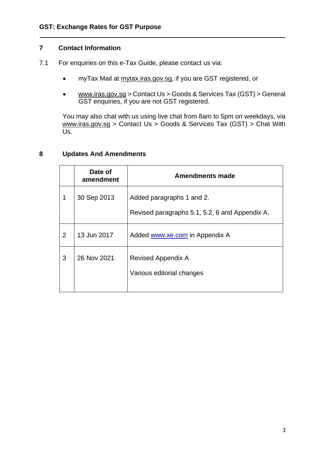#### <span id="page-5-0"></span>**7 Contact Information**

- 7.1 For enquiries on this e-Tax Guide, please contact us via:
	- myTax Mail at mytax.iras.gov.sg, if you are GST registered, or
	- www.iras.gov.sg > Contact Us > Goods & Services Tax (GST) > General GST enquiries, if you are not GST registered.

You may also chat with us using live chat from 8am to 5pm on weekdays, via www.iras.gov.sg > Contact Us > Goods & Services Tax (GST) > Chat With Us.

#### <span id="page-5-1"></span>**8 Updates And Amendments**

|   | Date of<br>amendment | Amendments made                                                             |
|---|----------------------|-----------------------------------------------------------------------------|
| 1 | 30 Sep 2013          | Added paragraphs 1 and 2.<br>Revised paragraphs 5.1, 5.2, 6 and Appendix A. |
| 2 | 13 Jun 2017          | Added www.xe.com in Appendix A                                              |
| 3 | 26 Nov 2021          | <b>Revised Appendix A</b><br>Various editorial changes                      |